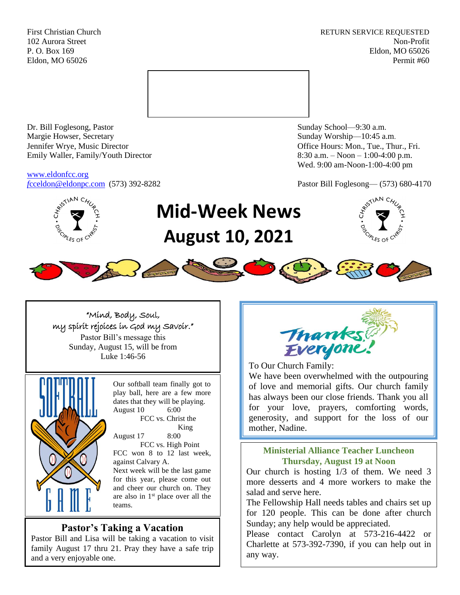First Christian Church **RETURN SERVICE REQUESTED** 102 Aurora Street Non-Profit P. O. Box 169 Eldon, MO 65026 Eldon, MO 65026 Permit #60



Dr. Bill Foglesong, Pastor Sunday School—9:30 a.m. Margie Howser, Secretary Sunday Worship—10:45 a.m. Jennifer Wrye, Music Director Office Hours: Mon., Tue., Thur., Fri. Emily Waller, Family/Youth Director 8:30 a.m. – Noon – 1:00-4:00 p.m.

[www.eldonfcc.org](http://www.eldonfcc.org/)

Wed. 9:00 am-Noon-1:00-4:00 pm

*f*[cceldon@eldonpc.com](mailto:fcceldon@eldonpc.com) (573) 392-8282 Pastor Bill Foglesong— (573) 680-4170



# **Mid-Week News August 10, 2021**





## "Mind, Body, Soul, my spirit rejoices in God my Savoir." Pastor Bill's message this Sunday, August 15, will be from Luke 1:46-56



Our softball team finally got to play ball, here are a few more dates that they will be playing. August 10 6:00 FCC vs. Christ the King August 17 8:00 FCC vs. High Point FCC won 8 to 12 last week, against Calvary A. Next week will be the last game for this year, please come out and cheer our church on. They are also in 1st place over all the

# **Pastor's Taking a Vacation**

teams.

Pastor Bill and Lisa will be taking a vacation to visit family August 17 thru 21. Pray they have a safe trip and a very enjoyable one.



To Our Church Family:

Charlette & Cheryl

We have been overwhelmed with the outpouring of love and memorial gifts. Our church family has always been our close friends. Thank you all for your love, prayers, comforting words, generosity, and support for the loss of our mother, Nadine.

## **Ministerial Alliance Teacher Luncheon Thursday, August 19 at Noon**

Our church is hosting 1/3 of them. We need 3 more desserts and 4 more workers to make the salad and serve here.

The Fellowship Hall needs tables and chairs set up for 120 people. This can be done after church Sunday; any help would be appreciated.

Please contact Carolyn at 573-216-4422 or Charlette at 573-392-7390, if you can help out in any way.